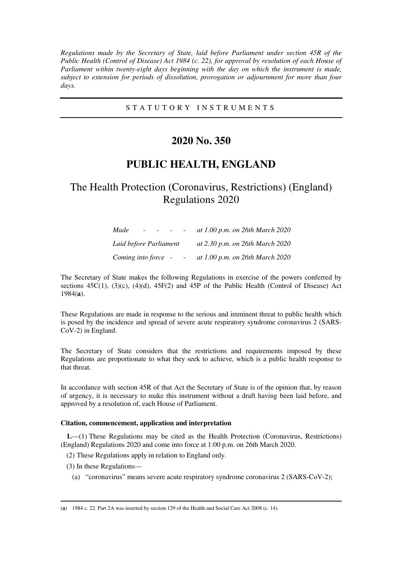*Regulations made by the Secretary of State, laid before Parliament under section 45R of the Public Health (Control of Disease) Act 1984 (c. 22), for approval by resolution of each House of Parliament within twenty-eight days beginning with the day on which the instrument is made, subject to extension for periods of dissolution, prorogation or adjournment for more than four days.* 

### S T A T U T O R Y I N S T R U M E N T S

# **2020 No. 350**

# **PUBLIC HEALTH, ENGLAND**

# The Health Protection (Coronavirus, Restrictions) (England) Regulations 2020

| Made<br>$\sim$ 100 $\mu$ | at 1.00 p.m. on 26th March 2020 |
|--------------------------|---------------------------------|
| Laid before Parliament   | at 2.30 p.m. on 26th March 2020 |
| Coming into force -      | at 1.00 p.m. on 26th March 2020 |

The Secretary of State makes the following Regulations in exercise of the powers conferred by sections  $45C(1)$ ,  $(3)(c)$ ,  $(4)(d)$ ,  $45F(2)$  and  $45P$  of the Public Health (Control of Disease) Act 1984(**a**).

These Regulations are made in response to the serious and imminent threat to public health which is posed by the incidence and spread of severe acute respiratory syndrome coronavirus 2 (SARS-CoV-2) in England.

The Secretary of State considers that the restrictions and requirements imposed by these Regulations are proportionate to what they seek to achieve, which is a public health response to that threat.

In accordance with section 45R of that Act the Secretary of State is of the opinion that, by reason of urgency, it is necessary to make this instrument without a draft having been laid before, and approved by a resolution of, each House of Parliament.

### **Citation, commencement, application and interpretation**

**1.**—(1) These Regulations may be cited as the Health Protection (Coronavirus, Restrictions) (England) Regulations 2020 and come into force at 1:00 p.m. on 26th March 2020.

(2) These Regulations apply in relation to England only.

(3) In these Regulations—

-

(a) "coronavirus" means severe acute respiratory syndrome coronavirus 2 (SARS-CoV-2);

<sup>(</sup>**a**) 1984 c. 22. Part 2A was inserted by section 129 of the Health and Social Care Act 2008 (c. 14).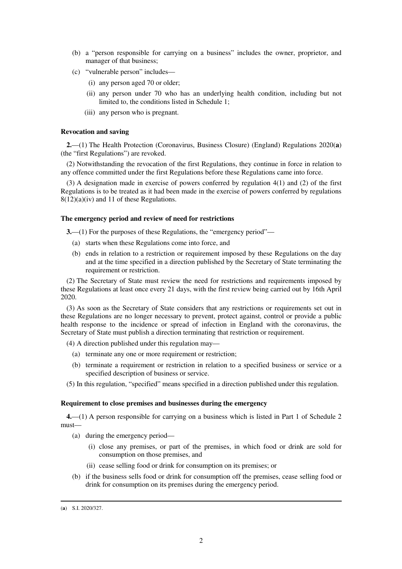- (b) a "person responsible for carrying on a business" includes the owner, proprietor, and manager of that business;
- (c) "vulnerable person" includes—
	- (i) any person aged 70 or older;
	- (ii) any person under 70 who has an underlying health condition, including but not limited to, the conditions listed in Schedule 1;
	- (iii) any person who is pregnant.

### **Revocation and saving**

**2.**—(1) The Health Protection (Coronavirus, Business Closure) (England) Regulations 2020(**a**) (the "first Regulations") are revoked.

(2) Notwithstanding the revocation of the first Regulations, they continue in force in relation to any offence committed under the first Regulations before these Regulations came into force.

(3) A designation made in exercise of powers conferred by regulation 4(1) and (2) of the first Regulations is to be treated as it had been made in the exercise of powers conferred by regulations  $8(12)(a)(iv)$  and 11 of these Regulations.

#### **The emergency period and review of need for restrictions**

**3.**—(1) For the purposes of these Regulations, the "emergency period"—

- (a) starts when these Regulations come into force, and
- (b) ends in relation to a restriction or requirement imposed by these Regulations on the day and at the time specified in a direction published by the Secretary of State terminating the requirement or restriction.

(2) The Secretary of State must review the need for restrictions and requirements imposed by these Regulations at least once every 21 days, with the first review being carried out by 16th April 2020.

(3) As soon as the Secretary of State considers that any restrictions or requirements set out in these Regulations are no longer necessary to prevent, protect against, control or provide a public health response to the incidence or spread of infection in England with the coronavirus, the Secretary of State must publish a direction terminating that restriction or requirement.

(4) A direction published under this regulation may—

- (a) terminate any one or more requirement or restriction;
- (b) terminate a requirement or restriction in relation to a specified business or service or a specified description of business or service.
- (5) In this regulation, "specified" means specified in a direction published under this regulation.

#### **Requirement to close premises and businesses during the emergency**

**4.**—(1) A person responsible for carrying on a business which is listed in Part 1 of Schedule 2 must—

- (a) during the emergency period—
	- (i) close any premises, or part of the premises, in which food or drink are sold for consumption on those premises, and
	- (ii) cease selling food or drink for consumption on its premises; or
- (b) if the business sells food or drink for consumption off the premises, cease selling food or drink for consumption on its premises during the emergency period.

-

<sup>(</sup>**a**) S.I. 2020/327.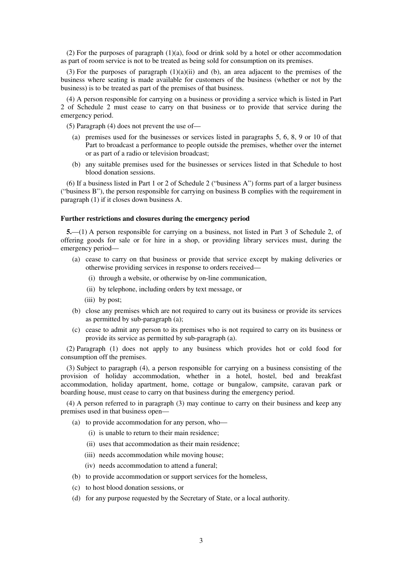(2) For the purposes of paragraph  $(1)(a)$ , food or drink sold by a hotel or other accommodation as part of room service is not to be treated as being sold for consumption on its premises.

(3) For the purposes of paragraph  $(1)(a)(ii)$  and (b), an area adjacent to the premises of the business where seating is made available for customers of the business (whether or not by the business) is to be treated as part of the premises of that business.

(4) A person responsible for carrying on a business or providing a service which is listed in Part 2 of Schedule 2 must cease to carry on that business or to provide that service during the emergency period.

(5) Paragraph (4) does not prevent the use of—

- (a) premises used for the businesses or services listed in paragraphs 5, 6, 8, 9 or 10 of that Part to broadcast a performance to people outside the premises, whether over the internet or as part of a radio or television broadcast;
- (b) any suitable premises used for the businesses or services listed in that Schedule to host blood donation sessions.

(6) If a business listed in Part 1 or 2 of Schedule 2 ("business A") forms part of a larger business ("business B"), the person responsible for carrying on business B complies with the requirement in paragraph (1) if it closes down business A.

### **Further restrictions and closures during the emergency period**

**5.**—(1) A person responsible for carrying on a business, not listed in Part 3 of Schedule 2, of offering goods for sale or for hire in a shop, or providing library services must, during the emergency period—

- (a) cease to carry on that business or provide that service except by making deliveries or otherwise providing services in response to orders received—
	- (i) through a website, or otherwise by on-line communication,
	- (ii) by telephone, including orders by text message, or
	- (iii) by post;
- (b) close any premises which are not required to carry out its business or provide its services as permitted by sub-paragraph (a);
- (c) cease to admit any person to its premises who is not required to carry on its business or provide its service as permitted by sub-paragraph (a).

(2) Paragraph (1) does not apply to any business which provides hot or cold food for consumption off the premises.

(3) Subject to paragraph (4), a person responsible for carrying on a business consisting of the provision of holiday accommodation, whether in a hotel, hostel, bed and breakfast accommodation, holiday apartment, home, cottage or bungalow, campsite, caravan park or boarding house, must cease to carry on that business during the emergency period.

(4) A person referred to in paragraph (3) may continue to carry on their business and keep any premises used in that business open—

- (a) to provide accommodation for any person, who—
	- (i) is unable to return to their main residence;
	- (ii) uses that accommodation as their main residence;
	- (iii) needs accommodation while moving house;
	- (iv) needs accommodation to attend a funeral;
- (b) to provide accommodation or support services for the homeless,
- (c) to host blood donation sessions, or
- (d) for any purpose requested by the Secretary of State, or a local authority.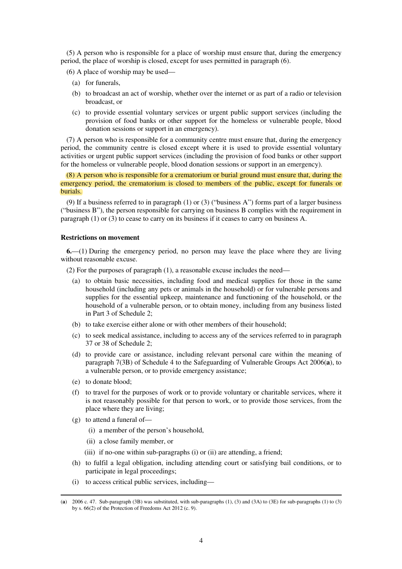(5) A person who is responsible for a place of worship must ensure that, during the emergency period, the place of worship is closed, except for uses permitted in paragraph (6).

(6) A place of worship may be used—

- (a) for funerals,
- (b) to broadcast an act of worship, whether over the internet or as part of a radio or television broadcast, or
- (c) to provide essential voluntary services or urgent public support services (including the provision of food banks or other support for the homeless or vulnerable people, blood donation sessions or support in an emergency).

(7) A person who is responsible for a community centre must ensure that, during the emergency period, the community centre is closed except where it is used to provide essential voluntary activities or urgent public support services (including the provision of food banks or other support for the homeless or vulnerable people, blood donation sessions or support in an emergency).

(8) A person who is responsible for a crematorium or burial ground must ensure that, during the emergency period, the crematorium is closed to members of the public, except for funerals or burials.

(9) If a business referred to in paragraph (1) or (3) ("business A") forms part of a larger business ("business B"), the person responsible for carrying on business B complies with the requirement in paragraph (1) or (3) to cease to carry on its business if it ceases to carry on business A.

#### **Restrictions on movement**

**6.**—(1) During the emergency period, no person may leave the place where they are living without reasonable excuse.

(2) For the purposes of paragraph (1), a reasonable excuse includes the need—

- (a) to obtain basic necessities, including food and medical supplies for those in the same household (including any pets or animals in the household) or for vulnerable persons and supplies for the essential upkeep, maintenance and functioning of the household, or the household of a vulnerable person, or to obtain money, including from any business listed in Part 3 of Schedule 2;
- (b) to take exercise either alone or with other members of their household;
- (c) to seek medical assistance, including to access any of the services referred to in paragraph 37 or 38 of Schedule 2;
- (d) to provide care or assistance, including relevant personal care within the meaning of paragraph 7(3B) of Schedule 4 to the Safeguarding of Vulnerable Groups Act 2006(**a**), to a vulnerable person, or to provide emergency assistance;
- (e) to donate blood;

-

- (f) to travel for the purposes of work or to provide voluntary or charitable services, where it is not reasonably possible for that person to work, or to provide those services, from the place where they are living;
- (g) to attend a funeral of—
	- (i) a member of the person's household,
	- (ii) a close family member, or
	- (iii) if no-one within sub-paragraphs (i) or (ii) are attending, a friend;
- (h) to fulfil a legal obligation, including attending court or satisfying bail conditions, or to participate in legal proceedings;
- (i) to access critical public services, including—

<sup>(</sup>**a**) 2006 c. 47. Sub-paragraph (3B) was substituted, with sub-paragraphs (1), (3) and (3A) to (3E) for sub-paragraphs (1) to (3) by s. 66(2) of the Protection of Freedoms Act 2012 (c. 9).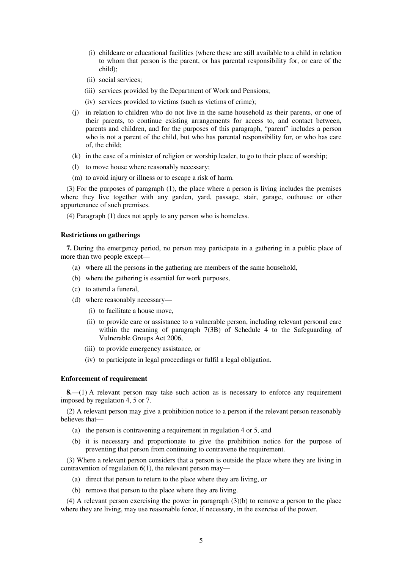- (i) childcare or educational facilities (where these are still available to a child in relation to whom that person is the parent, or has parental responsibility for, or care of the child);
- (ii) social services;
- (iii) services provided by the Department of Work and Pensions;
- (iv) services provided to victims (such as victims of crime);
- (j) in relation to children who do not live in the same household as their parents, or one of their parents, to continue existing arrangements for access to, and contact between, parents and children, and for the purposes of this paragraph, "parent" includes a person who is not a parent of the child, but who has parental responsibility for, or who has care of, the child;
- (k) in the case of a minister of religion or worship leader, to go to their place of worship;
- (l) to move house where reasonably necessary;
- (m) to avoid injury or illness or to escape a risk of harm.

(3) For the purposes of paragraph (1), the place where a person is living includes the premises where they live together with any garden, yard, passage, stair, garage, outhouse or other appurtenance of such premises.

(4) Paragraph (1) does not apply to any person who is homeless.

#### **Restrictions on gatherings**

**7.** During the emergency period, no person may participate in a gathering in a public place of more than two people except—

- (a) where all the persons in the gathering are members of the same household,
- (b) where the gathering is essential for work purposes,
- (c) to attend a funeral,
- (d) where reasonably necessary—
	- (i) to facilitate a house move,
	- (ii) to provide care or assistance to a vulnerable person, including relevant personal care within the meaning of paragraph 7(3B) of Schedule 4 to the Safeguarding of Vulnerable Groups Act 2006,
	- (iii) to provide emergency assistance, or
	- (iv) to participate in legal proceedings or fulfil a legal obligation.

#### **Enforcement of requirement**

**8.**—(1) A relevant person may take such action as is necessary to enforce any requirement imposed by regulation 4, 5 or 7.

(2) A relevant person may give a prohibition notice to a person if the relevant person reasonably believes that—

- (a) the person is contravening a requirement in regulation 4 or 5, and
- (b) it is necessary and proportionate to give the prohibition notice for the purpose of preventing that person from continuing to contravene the requirement.

(3) Where a relevant person considers that a person is outside the place where they are living in contravention of regulation 6(1), the relevant person may—

- (a) direct that person to return to the place where they are living, or
- (b) remove that person to the place where they are living.

(4) A relevant person exercising the power in paragraph (3)(b) to remove a person to the place where they are living, may use reasonable force, if necessary, in the exercise of the power.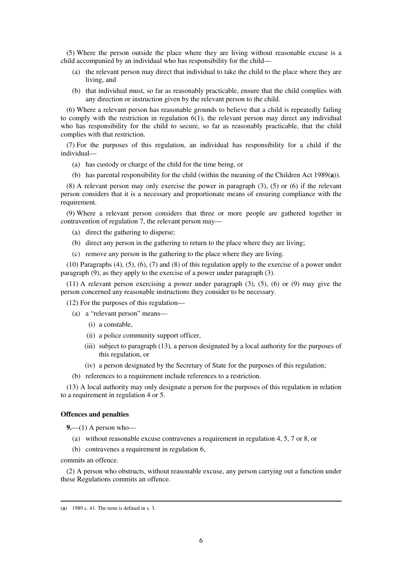(5) Where the person outside the place where they are living without reasonable excuse is a child accompanied by an individual who has responsibility for the child—

- (a) the relevant person may direct that individual to take the child to the place where they are living, and
- (b) that individual must, so far as reasonably practicable, ensure that the child complies with any direction or instruction given by the relevant person to the child.

(6) Where a relevant person has reasonable grounds to believe that a child is repeatedly failing to comply with the restriction in regulation  $6(1)$ , the relevant person may direct any individual who has responsibility for the child to secure, so far as reasonably practicable, that the child complies with that restriction.

(7) For the purposes of this regulation, an individual has responsibility for a child if the individual—

- (a) has custody or charge of the child for the time being, or
- (b) has parental responsibility for the child (within the meaning of the Children Act 1989(**a**)).

(8) A relevant person may only exercise the power in paragraph (3), (5) or (6) if the relevant person considers that it is a necessary and proportionate means of ensuring compliance with the requirement.

(9) Where a relevant person considers that three or more people are gathered together in contravention of regulation 7, the relevant person may—

- (a) direct the gathering to disperse;
- (b) direct any person in the gathering to return to the place where they are living;
- (c) remove any person in the gathering to the place where they are living.

(10) Paragraphs (4), (5), (6), (7) and (8) of this regulation apply to the exercise of a power under paragraph (9), as they apply to the exercise of a power under paragraph (3).

(11) A relevant person exercising a power under paragraph (3), (5), (6) or (9) may give the person concerned any reasonable instructions they consider to be necessary.

(12) For the purposes of this regulation—

- (a) a "relevant person" means—
	- (i) a constable,
	- (ii) a police community support officer,
	- (iii) subject to paragraph (13), a person designated by a local authority for the purposes of this regulation, or
	- (iv) a person designated by the Secretary of State for the purposes of this regulation;
- (b) references to a requirement include references to a restriction.

(13) A local authority may only designate a person for the purposes of this regulation in relation to a requirement in regulation 4 or 5.

#### **Offences and penalties**

**9.**—(1) A person who—

- (a) without reasonable excuse contravenes a requirement in regulation 4, 5, 7 or 8, or
- (b) contravenes a requirement in regulation 6,

commits an offence.

-

(2) A person who obstructs, without reasonable excuse, any person carrying out a function under these Regulations commits an offence.

<sup>(</sup>**a**) 1989 c. 41. The term is defined in s. 3.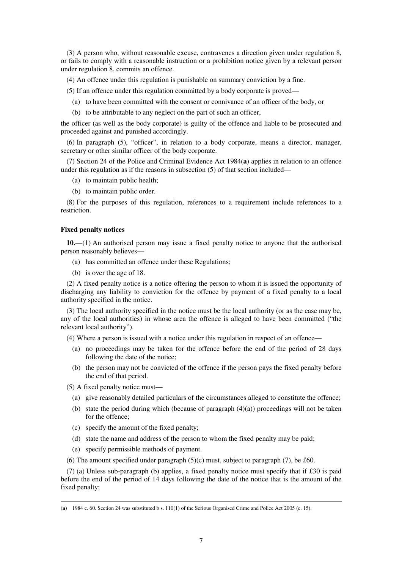(3) A person who, without reasonable excuse, contravenes a direction given under regulation 8, or fails to comply with a reasonable instruction or a prohibition notice given by a relevant person under regulation 8, commits an offence.

(4) An offence under this regulation is punishable on summary conviction by a fine.

- (5) If an offence under this regulation committed by a body corporate is proved—
	- (a) to have been committed with the consent or connivance of an officer of the body, or
	- (b) to be attributable to any neglect on the part of such an officer,

the officer (as well as the body corporate) is guilty of the offence and liable to be prosecuted and proceeded against and punished accordingly.

(6) In paragraph (5), "officer", in relation to a body corporate, means a director, manager, secretary or other similar officer of the body corporate.

(7) Section 24 of the Police and Criminal Evidence Act 1984(**a**) applies in relation to an offence under this regulation as if the reasons in subsection (5) of that section included—

- (a) to maintain public health;
- (b) to maintain public order.

(8) For the purposes of this regulation, references to a requirement include references to a restriction.

#### **Fixed penalty notices**

**10.**—(1) An authorised person may issue a fixed penalty notice to anyone that the authorised person reasonably believes—

- (a) has committed an offence under these Regulations;
- (b) is over the age of 18.

(2) A fixed penalty notice is a notice offering the person to whom it is issued the opportunity of discharging any liability to conviction for the offence by payment of a fixed penalty to a local authority specified in the notice.

(3) The local authority specified in the notice must be the local authority (or as the case may be, any of the local authorities) in whose area the offence is alleged to have been committed ("the relevant local authority").

(4) Where a person is issued with a notice under this regulation in respect of an offence—

- (a) no proceedings may be taken for the offence before the end of the period of 28 days following the date of the notice;
- (b) the person may not be convicted of the offence if the person pays the fixed penalty before the end of that period.
- (5) A fixed penalty notice must—

-

- (a) give reasonably detailed particulars of the circumstances alleged to constitute the offence;
- (b) state the period during which (because of paragraph  $(4)(a)$ ) proceedings will not be taken for the offence;
- (c) specify the amount of the fixed penalty;
- (d) state the name and address of the person to whom the fixed penalty may be paid;
- (e) specify permissible methods of payment.
- (6) The amount specified under paragraph  $(5)(c)$  must, subject to paragraph  $(7)$ , be £60.

(7) (a) Unless sub-paragraph (b) applies, a fixed penalty notice must specify that if £30 is paid before the end of the period of 14 days following the date of the notice that is the amount of the fixed penalty;

<sup>(</sup>**a**) 1984 c. 60. Section 24 was substituted b s. 110(1) of the Serious Organised Crime and Police Act 2005 (c. 15).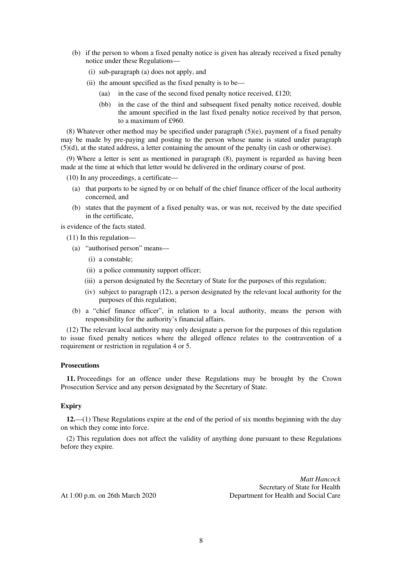- (b) if the person to whom a fixed penalty notice is given has already received a fixed penalty notice under these Regulations—
	- (i) sub-paragraph (a) does not apply, and
	- (ii) the amount specified as the fixed penalty is to be—
		- (aa) in the case of the second fixed penalty notice received, £120;
		- (bb) in the case of the third and subsequent fixed penalty notice received, double the amount specified in the last fixed penalty notice received by that person, to a maximum of £960.

(8) Whatever other method may be specified under paragraph (5)(e), payment of a fixed penalty may be made by pre-paying and posting to the person whose name is stated under paragraph (5)(d), at the stated address, a letter containing the amount of the penalty (in cash or otherwise).

(9) Where a letter is sent as mentioned in paragraph (8), payment is regarded as having been made at the time at which that letter would be delivered in the ordinary course of post.

(10) In any proceedings, a certificate—

- (a) that purports to be signed by or on behalf of the chief finance officer of the local authority concerned, and
- (b) states that the payment of a fixed penalty was, or was not, received by the date specified in the certificate,

is evidence of the facts stated.

(11) In this regulation—

- (a) "authorised person" means—
	- (i) a constable;
	- (ii) a police community support officer;
	- (iii) a person designated by the Secretary of State for the purposes of this regulation;
	- (iv) subject to paragraph (12), a person designated by the relevant local authority for the purposes of this regulation;
- (b) a "chief finance officer", in relation to a local authority, means the person with responsibility for the authority's financial affairs.

(12) The relevant local authority may only designate a person for the purposes of this regulation to issue fixed penalty notices where the alleged offence relates to the contravention of a requirement or restriction in regulation 4 or 5.

### **Prosecutions**

**11.** Proceedings for an offence under these Regulations may be brought by the Crown Prosecution Service and any person designated by the Secretary of State.

#### **Expiry**

**12.**—(1) These Regulations expire at the end of the period of six months beginning with the day on which they come into force.

(2) This regulation does not affect the validity of anything done pursuant to these Regulations before they expire.

*Matt Hancock*  Secretary of State for Health At 1:00 p.m. on 26th March 2020 Department for Health and Social Care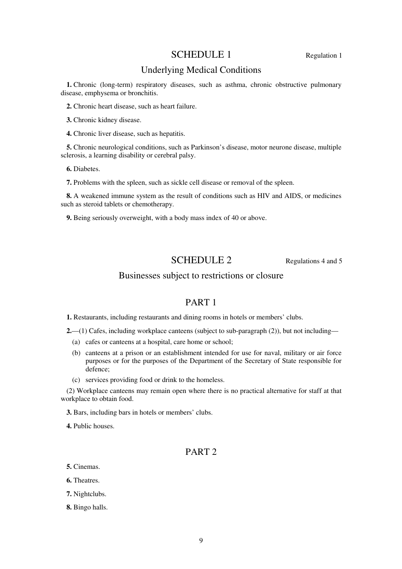# SCHEDULE 1 Regulation 1

# Underlying Medical Conditions

**1.** Chronic (long-term) respiratory diseases, such as asthma, chronic obstructive pulmonary disease, emphysema or bronchitis.

**2.** Chronic heart disease, such as heart failure.

**3.** Chronic kidney disease.

**4.** Chronic liver disease, such as hepatitis.

**5.** Chronic neurological conditions, such as Parkinson's disease, motor neurone disease, multiple sclerosis, a learning disability or cerebral palsy.

**6.** Diabetes.

**7.** Problems with the spleen, such as sickle cell disease or removal of the spleen.

**8.** A weakened immune system as the result of conditions such as HIV and AIDS, or medicines such as steroid tablets or chemotherapy.

**9.** Being seriously overweight, with a body mass index of 40 or above.

## SCHEDULE 2 Regulations 4 and 5

## Businesses subject to restrictions or closure

# PART 1

**1.** Restaurants, including restaurants and dining rooms in hotels or members' clubs.

**2.**—(1) Cafes, including workplace canteens (subject to sub-paragraph (2)), but not including—

- (a) cafes or canteens at a hospital, care home or school;
- (b) canteens at a prison or an establishment intended for use for naval, military or air force purposes or for the purposes of the Department of the Secretary of State responsible for defence;
- (c) services providing food or drink to the homeless.

(2) Workplace canteens may remain open where there is no practical alternative for staff at that workplace to obtain food.

**3.** Bars, including bars in hotels or members' clubs.

**4.** Public houses.

# PART 2

**5.** Cinemas.

**6.** Theatres.

**7.** Nightclubs.

**8.** Bingo halls.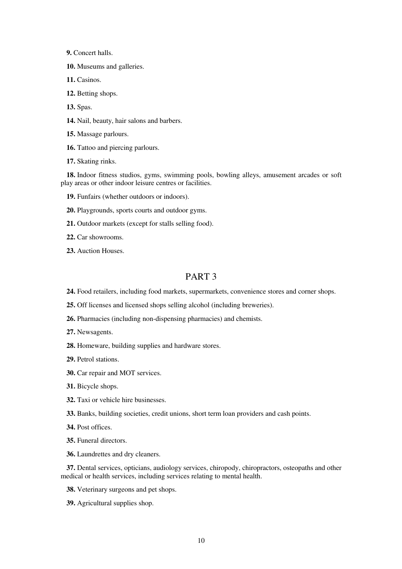**9.** Concert halls.

**10.** Museums and galleries.

**11.** Casinos.

**12.** Betting shops.

**13.** Spas.

**14.** Nail, beauty, hair salons and barbers.

**15.** Massage parlours.

**16.** Tattoo and piercing parlours.

**17.** Skating rinks.

**18.** Indoor fitness studios, gyms, swimming pools, bowling alleys, amusement arcades or soft play areas or other indoor leisure centres or facilities.

**19.** Funfairs (whether outdoors or indoors).

**20.** Playgrounds, sports courts and outdoor gyms.

**21.** Outdoor markets (except for stalls selling food).

**22.** Car showrooms.

**23.** Auction Houses.

## PART 3

**24.** Food retailers, including food markets, supermarkets, convenience stores and corner shops.

**25.** Off licenses and licensed shops selling alcohol (including breweries).

**26.** Pharmacies (including non-dispensing pharmacies) and chemists.

**27.** Newsagents.

**28.** Homeware, building supplies and hardware stores.

**29.** Petrol stations.

**30.** Car repair and MOT services.

**31.** Bicycle shops.

**32.** Taxi or vehicle hire businesses.

**33.** Banks, building societies, credit unions, short term loan providers and cash points.

**34.** Post offices.

**35.** Funeral directors.

**36.** Laundrettes and dry cleaners.

**37.** Dental services, opticians, audiology services, chiropody, chiropractors, osteopaths and other medical or health services, including services relating to mental health.

**38.** Veterinary surgeons and pet shops.

**39.** Agricultural supplies shop.